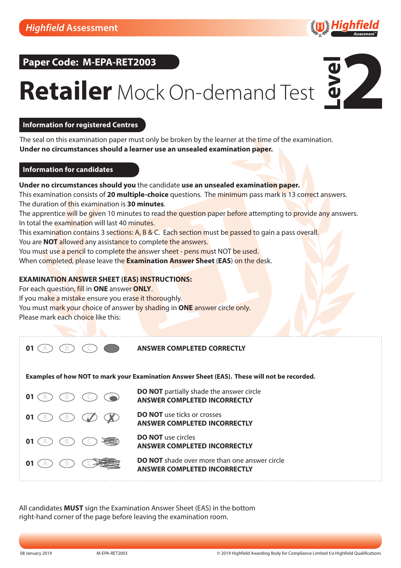

**e**

**Le**

**Level 2**

**A/615/8169**

### **Paper Code: M-EPA-RET2003 Paper Code: FSM3009**

# **Food Safety in Manufacturing Retailer** Mock On-demand Test

#### **Information for registered Centres**

**Information for registered centres**

The seal on this examination paper must only be broken by the learner at the time of the examination. **Under no circumstances should a learner use an unsealed examination paper.**

# **Information for candidates**

Under no circumstances should you the candidate use an unsealed examination paper. **Information for candidates** The duration of this examination is **30 minutes**. This examination consists of **20 multiple-choice** questions. The minimum pass mark is 13 correct answers.

The apprentice <mark>will be giv</mark>en 10 minutes to read the question paper before attempting to provide any answers. This examination consists of **45 multiple-choice** questions. The minimum pass mark is **27 correct answers**. In total the examination will last 40 minutes.

This examin<mark>ati</mark>on contains 3 se<mark>ctions: A, B & C. Each section m</mark>ust be <mark>passed t</mark>o gain a pass overall.<br>...

You are **NOT** allowed any assist<mark>ance to c</mark>omplet<mark>e the answers.</mark>

You must use a pencil to comple<mark>te the an</mark>swer sh<mark>eet - pens mus</mark>t NOT <mark>be used.</mark>

When co<mark>mpleted, pl</mark>ease leave th<mark>e **Examination Answer Sheet** (**EAS**) on the de</mark>sk.

#### When completed, please leave the **Examination Answer Sheet (EAS)** on the desk. **EXAMINATION ANSWER SHEET (EAS) INSTRUCTIONS:**

 $\frac{1}{2}$  **For each question, fill in ONE** answer **ONLY.** 

If you mak<mark>e a</mark> mis<mark>take ensure you erase it thoro</mark>ughly.

You must m<mark>ark yo</mark>ur choice of answer <mark>by shadin</mark>g in **ONE** answer circle only.<br>-

**You mark each choice like this:** The answer condition of answer circle only.

 $\mathbf{01}$   $\epsilon$ 



**Examples of how NOT to mark your Examination Answer Sheet (EAS). These will not be recorded.**



**DO NOT** partially shade the answer circle **ANSWER COMPLETED INCORRECTLY DO NOT** use ticks or crosses **ANSWER COMPLETED INCORRECTLY DO NOT** use circles

**ANSWER COMPLETED INCORRECTLY**

**DO NOT** shade over more than one answer circle **ANSWER COMPLETED INCORRECTLY**

All candidates **MUST** sign the Examination Answer Sheet (EAS) in the bottom All candidates **MUST** sign the Examination Answer Sheet (EAS) in the bottom right-hand corner of the page before leaving the examination room. right-hand corner of the page before leaving the examination room.

30 June 2017 FSM3009 ©Highfield 2017 30 June 2017 FSM3009 ©Highfield 2017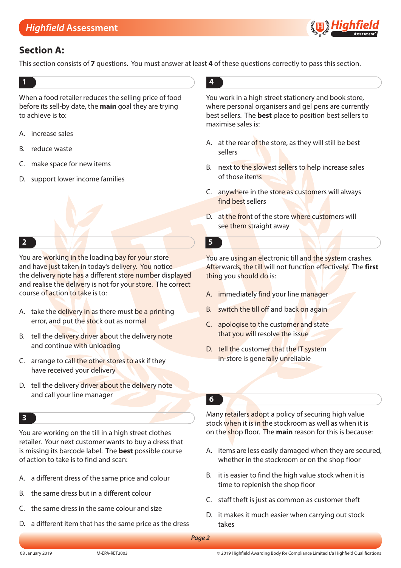

# **Section A:**

This section consists of **7** questions. You must answer at least **4** of these questions correctly to pass this section.

#### **1 4**

When a food retailer reduces the selling price of food before its sell-by date, the **main** goal they are trying to achieve is to:

- A. increase sales
- B. reduce waste
- C. make space for new items
- D. support lower income families

#### **2 5**

You are working in the loading bay for your store and have just taken in today's delivery. You notice the delivery note has a different store number displayed and realise the delivery is not for your store. The correct course of action to take is to:

- A. take the delivery in as there must be a printing error, and put the stock out as normal
- B. tell the delivery driver about the delivery note and continue with unloading
- C. arrange to call the other stores to ask if they have received your delivery
- D. tell the delivery driver about the delivery note and call your line manager

#### **3**

You are working on the till in a high street clothes retailer. Your next customer wants to buy a dress that is missing its barcode label. The **best** possible course of action to take is to find and scan:

- A. a different dress of the same price and colour
- B. the same dress but in a different colour
- C. the same dress in the same colour and size
- D. a different item that has the same price as the dress

You work in a high street stationery and book store, where personal organisers and gel pens are currently best sellers. The **best** place to position best sellers to maximise sales is:

- A. at the rear of the store, as they will still be best sellers
- B. next to the slowest sellers to help increase sales of those items
- C. anywhere in the store as customers will always find best sellers
- D. at the front of the store where customers will see them straight away

You are using an electronic till and the system crashes. Afterwards, the till will not function effectively. The **first** thing you should do is:

- A. immediately find your line manager
- B. switch the till off and back on again
- C. apologise to the customer and state that you will resolve the issue
- D. tell the customer that the IT system in-store is generally unreliable

**6**

Many retailers adopt a policy of securing high value stock when it is in the stockroom as well as when it is on the shop floor. The **main** reason for this is because:

- A. items are less easily damaged when they are secured, whether in the stockroom or on the shop floor
- B. it is easier to find the high value stock when it is time to replenish the shop floor
- C. staff theft is just as common as customer theft
- D. it makes it much easier when carrying out stock takes

*Page 2*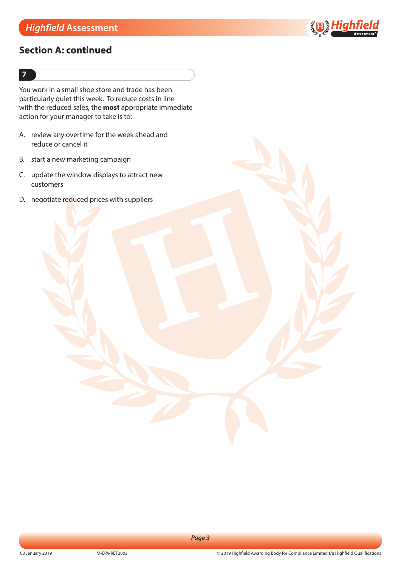

# **Section A: continued**

#### **7**

You work in a small shoe store and trade has been particularly quiet this week. To reduce costs in line with the reduced sales, the **most** appropriate immediate action for your manager to take is to:

- A. review any overtime for the week ahead and reduce or cancel it
- B. start a new marketing campaign
- C. update the window displays to attract new customers
- D. negotiate reduced prices with suppliers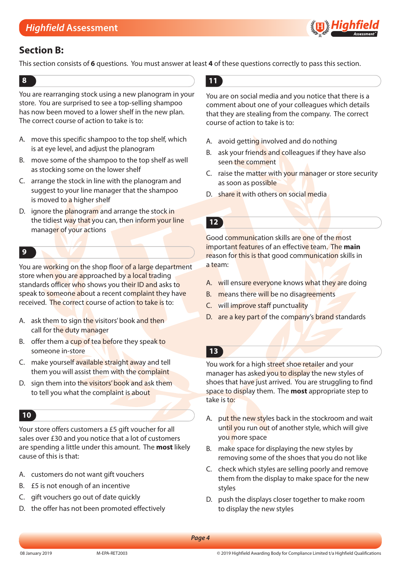

# **Section B:**

This section consists of **6** questions. You must answer at least **4** of these questions correctly to pass this section.

You are rearranging stock using a new planogram in your store. You are surprised to see a top-selling shampoo has now been moved to a lower shelf in the new plan. The correct course of action to take is to:

- A. move this specific shampoo to the top shelf, which is at eye level, and adjust the planogram
- B. move some of the shampoo to the top shelf as well as stocking some on the lower shelf
- C. arrange the stock in line with the planogram and suggest to your line manager that the shampoo is moved to a higher shelf
- D. ignore the planogram and arrange the stock in the tidiest way that you can, then inform your line manager of your actions

**9**

You are working on the shop floor of a large department store when you are approached by a local trading standards officer who shows you their ID and asks to speak to someone about a recent complaint they have received. The correct course of action to take is to:

- A. ask them to sign the visitors' book and then call for the duty manager
- B. offer them a cup of tea before they speak to someone in-store
- C. make yourself available straight away and tell them you will assist them with the complaint
- D. sign them into the visitors' book and ask them to tell you what the complaint is about

### **10**

Your store offers customers a £5 gift voucher for all sales over £30 and you notice that a lot of customers are spending a little under this amount. The **most** likely cause of this is that:

- A. customers do not want gift vouchers
- B. £5 is not enough of an incentive
- C. gift vouchers go out of date quickly
- D. the offer has not been promoted effectively

## **8 11**

You are on social media and you notice that there is a comment about one of your colleagues which details that they are stealing from the company. The correct course of action to take is to:

- A. avoid getting involved and do nothing
- B. ask your friends and colleagues if they have also seen the comment
- C. raise the matter with your manager or store security as soon as possible
- D. share it with others on social media

**12**

Good communication skills are one of the most important features of an effective team. The **main** reason for this is that good communication skills in a team:

- A. will ensure everyone knows what they are doing
- B. means there will be no disagreements
- C. will improve staff punctuality
- D. are a key part of the company's brand standards

**13**

You work for a high street shoe retailer and your manager has asked you to display the new styles of shoes that have just arrived. You are struggling to find space to display them. The **most** appropriate step to take is to:

- A. put the new styles back in the stockroom and wait until you run out of another style, which will give you more space
- B. make space for displaying the new styles by removing some of the shoes that you do not like
- C. check which styles are selling poorly and remove them from the display to make space for the new styles
- D. push the displays closer together to make room to display the new styles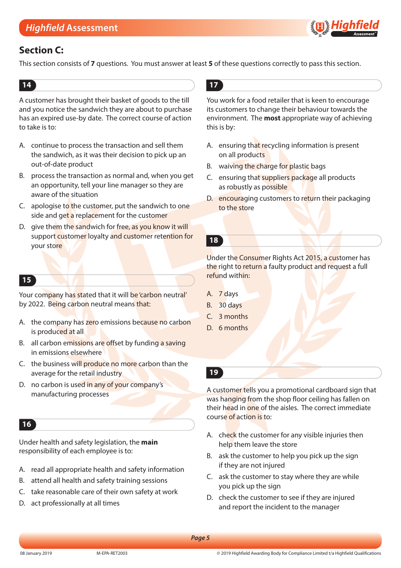

# **Section C:**

This section consists of **7** questions. You must answer at least **5** of these questions correctly to pass this section.

### **14 17**

A customer has brought their basket of goods to the till and you notice the sandwich they are about to purchase has an expired use-by date. The correct course of action to take is to:

- A. continue to process the transaction and sell them the sandwich, as it was their decision to pick up an out-of-date product
- B. process the transaction as normal and, when you get an opportunity, tell your line manager so they are aware of the situation
- C. apologise to the customer, put the sandwich to one side and get a replacement for the customer
- D. give them the sandwich for free, as you know it will support customer loyalty and customer retention for your store

#### **15**

Your company has stated that it will be 'carbon neutral' by 2022. Being carbon neutral means that:

- A. the company has zero emissions because no carbon is produced at all
- B. all carbon emissions are offset by funding a saving in emissions elsewhere
- C. the business will produce no more carbon than the average for the retail industry
- D. no carbon is used in any of your company's manufacturing processes

#### **16**

Under health and safety legislation, the **main** responsibility of each employee is to:

- A. read all appropriate health and safety information
- B. attend all health and safety training sessions
- C. take reasonable care of their own safety at work
- D. act professionally at all times

You work for a food retailer that is keen to encourage its customers to change their behaviour towards the environment. The **most** appropriate way of achieving this is by:

- A. ensuring that recycling information is present on all products
- B. waiving the charge for plastic bags
- C. ensuring that suppliers package all products as robustly as possible
- D. encouraging customers to return their packaging to the store

#### **18**

Under the Consumer Rights Act 2015, a customer has the right to return a faulty product and request a full refund within:

- A. 7 days
- B. 30 days
- C. 3 months
- D. 6 months



*Page 5*

A customer tells you a promotional cardboard sign that was hanging from the shop floor ceiling has fallen on their head in one of the aisles. The correct immediate course of action is to:

- A. check the customer for any visible injuries then help them leave the store
- B. ask the customer to help you pick up the sign if they are not injured
- C. ask the customer to stay where they are while you pick up the sign
- D. check the customer to see if they are injured and report the incident to the manager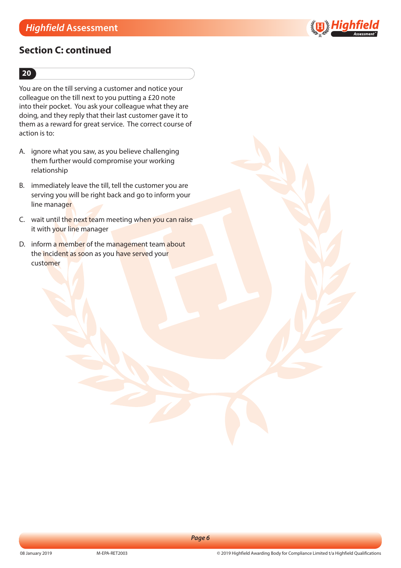

# **Section C: continued**

#### **20**

You are on the till serving a customer and notice your colleague on the till next to you putting a £20 note into their pocket. You ask your colleague what they are doing, and they reply that their last customer gave it to them as a reward for great service. The correct course of action is to:

- A. ignore what you saw, as you believe challenging them further would compromise your working relationship
- B. immediately leave the till, tell the customer you are serving you will be right back and go to inform your line manager
- C. wait until the next team meeting when you can raise it with your line manager
- D. inform a member of the management team about the incident as soon as you have served your customer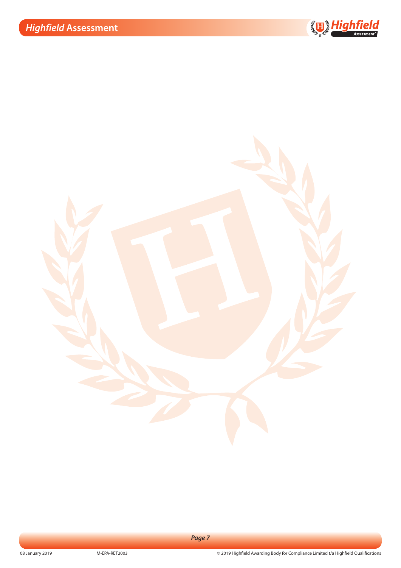



*Page 7*

08 January 2019 M-EPA-RET2003 © 2019 Highfield Awarding Body for Compliance Limited t/a Highfield Qualifications